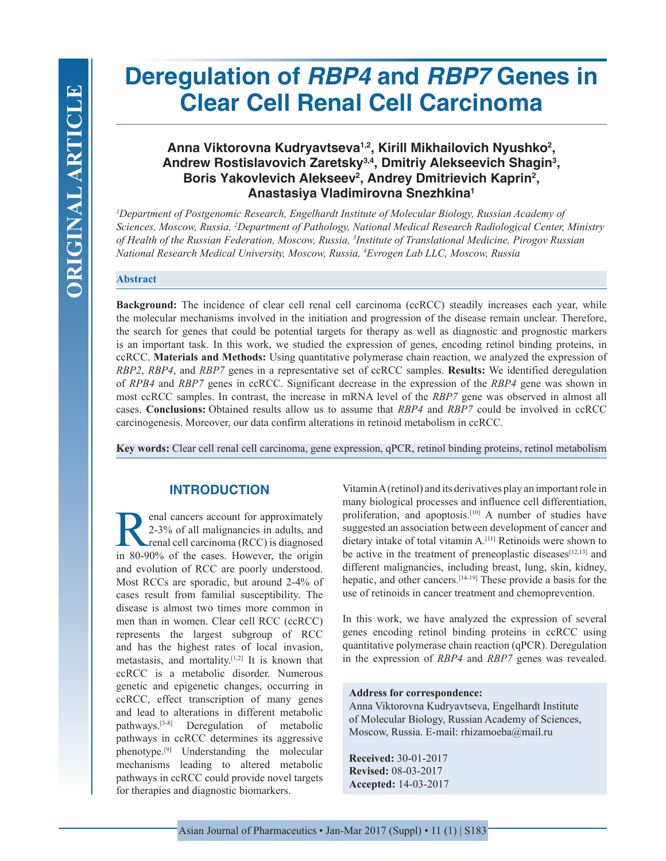# **Deregulation of** *RBP4* **and** *RBP7* **Genes in Clear Cell Renal Cell Carcinoma**

# **Anna Viktorovna Kudryavtseva1,2, Kirill Mikhailovich Nyushko2 , Andrew Rostislavovich Zaretsky3,4, Dmitriy Alekseevich Shagin3 ,**  Boris Yakovlevich Alekseev<sup>2</sup>, Andrey Dmitrievich Kaprin<sup>2</sup>, **Anastasiya Vladimirovna Snezhkina1**

*1 Department of Postgenomic Research, Engelhardt Institute of Molecular Biology, Russian Academy of Sciences, Moscow, Russia, 2 Department of Pathology, National Medical Research Radiological Center, Ministry of Health of the Russian Federation, Moscow, Russia, 3 Institute of Translational Medicine, Pirogov Russian National Research Medical University, Moscow, Russia, 4 Evrogen Lab LLC, Moscow, Russia*

#### **Abstract**

**Background:** The incidence of clear cell renal cell carcinoma (ccRCC) steadily increases each year, while the molecular mechanisms involved in the initiation and progression of the disease remain unclear. Therefore, the search for genes that could be potential targets for therapy as well as diagnostic and prognostic markers is an important task. In this work, we studied the expression of genes, encoding retinol binding proteins, in ccRCC. **Materials and Methods:** Using quantitative polymerase chain reaction, we analyzed the expression of *RBP2*, *RBP4*, and *RBP7* genes in a representative set of ccRCC samples. **Results:** We identified deregulation of *RPB4* and *RBP7* genes in ccRCC. Significant decrease in the expression of the *RBP4* gene was shown in most ccRCC samples. In contrast, the increase in mRNA level of the *RBP7* gene was observed in almost all cases. **Conclusions:** Obtained results allow us to assume that *RBP4* and *RBP7* could be involved in ccRCC carcinogenesis. Moreover, our data confirm alterations in retinoid metabolism in ccRCC.

**Key words:** Clear cell renal cell carcinoma, gene expression, qPCR, retinol binding proteins, retinol metabolism

# **INTRODUCTION**

**Renal cancers account for approximately**<br>2-3% of all malignancies in adults, and<br>renal cell carcinoma (RCC) is diagnosed<br>in 80-90% of the cases. However, the origin 2-3% of all malignancies in adults, and renal cell carcinoma (RCC) is diagnosed in 80-90% of the cases. However, the origin and evolution of RCC are poorly understood. Most RCCs are sporadic, but around 2-4% of cases result from familial susceptibility. The disease is almost two times more common in men than in women. Clear cell RCC (ccRCC) represents the largest subgroup of RCC and has the highest rates of local invasion, metastasis, and mortality.[1,2] It is known that ccRCC is a metabolic disorder. Numerous genetic and epigenetic changes, occurring in ccRCC, effect transcription of many genes and lead to alterations in different metabolic pathways.[3-8] Deregulation of metabolic pathways in ccRCC determines its aggressive phenotype.[9] Understanding the molecular mechanisms leading to altered metabolic pathways in ccRCC could provide novel targets for therapies and diagnostic biomarkers.

Vitamin A (retinol) and its derivatives play an important role in many biological processes and influence cell differentiation, proliferation, and apoptosis.<sup>[10]</sup> A number of studies have suggested an association between development of cancer and dietary intake of total vitamin A.[11] Retinoids were shown to be active in the treatment of preneoplastic diseases $[12,13]$  and different malignancies, including breast, lung, skin, kidney, hepatic, and other cancers.[14-19] These provide a basis for the use of retinoids in cancer treatment and chemoprevention.

In this work, we have analyzed the expression of several genes encoding retinol binding proteins in ccRCC using quantitative polymerase chain reaction (qPCR). Deregulation in the expression of *RBP4* and *RBP7* genes was revealed.

## **Address for correspondence:**

Anna Viktorovna Kudryavtseva, Engelhardt Institute of Molecular Biology, Russian Academy of Sciences, Moscow, Russia. E-mail: rhizamoeba@mail.ru

**Received:** 30-01-2017 **Revised:** 08-03-2017 **Accepted:** 14-03-2017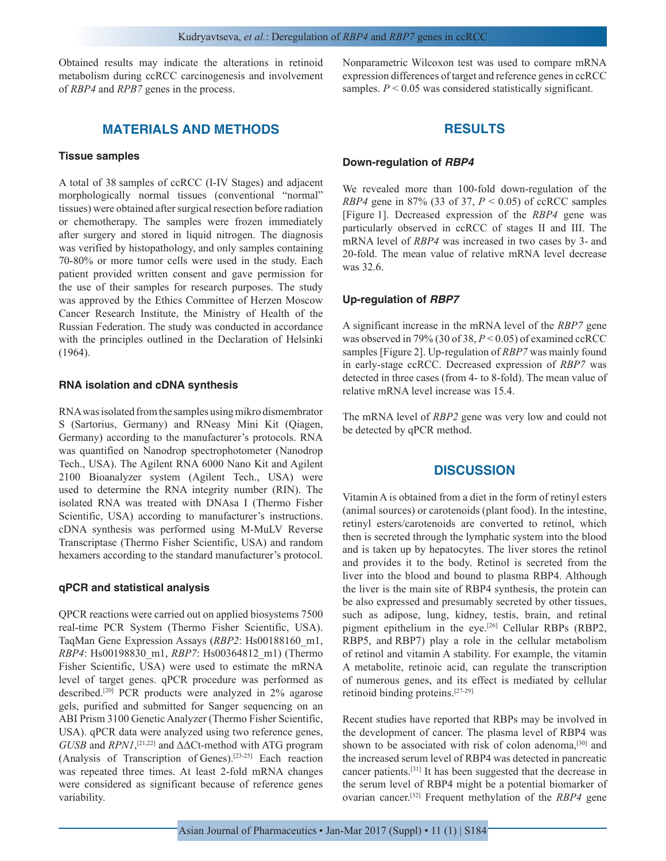Obtained results may indicate the alterations in retinoid metabolism during ccRCC carcinogenesis and involvement of *RBP4* and *RPB7* genes in the process.

# **MATERIALS AND METHODS**

# **Tissue samples**

A total of 38 samples of ccRCC (I-IV Stages) and adjacent morphologically normal tissues (conventional "normal" tissues) were obtained after surgical resection before radiation or chemotherapy. The samples were frozen immediately after surgery and stored in liquid nitrogen. The diagnosis was verified by histopathology, and only samples containing 70-80% or more tumor cells were used in the study. Each patient provided written consent and gave permission for the use of their samples for research purposes. The study was approved by the Ethics Committee of Herzen Moscow Cancer Research Institute, the Ministry of Health of the Russian Federation. The study was conducted in accordance with the principles outlined in the Declaration of Helsinki (1964).

#### **RNA isolation and cDNA synthesis**

RNA was isolated from the samples using mikro dismembrator S (Sartorius, Germany) and RNeasy Mini Kit (Qiagen, Germany) according to the manufacturer's protocols. RNA was quantified on Nanodrop spectrophotometer (Nanodrop Tech., USA). The Agilent RNA 6000 Nano Kit and Agilent 2100 Bioanalyzer system (Agilent Tech., USA) were used to determine the RNA integrity number (RIN). The isolated RNA was treated with DNAsa I (Thermo Fisher Scientific, USA) according to manufacturer's instructions. cDNA synthesis was performed using M-MuLV Reverse Transcriptase (Thermo Fisher Scientific, USA) and random hexamers according to the standard manufacturer's protocol.

#### **qPCR and statistical analysis**

QPCR reactions were carried out on applied biosystems 7500 real-time PCR System (Thermo Fisher Scientific, USA). TaqMan Gene Expression Assays (*RBP2*: Hs00188160\_m1, *RBP4*: Hs00198830\_m1, *RBP7*: Hs00364812\_m1) (Thermo Fisher Scientific, USA) were used to estimate the mRNA level of target genes. qPCR procedure was performed as described.[20] PCR products were analyzed in 2% agarose gels, purified and submitted for Sanger sequencing on an ABI Prism 3100 Genetic Analyzer (Thermo Fisher Scientific, USA). qPCR data were analyzed using two reference genes, *GUSB* and *RPN1*, [21,22] and ΔΔCt-method with ATG program (Analysis of Transcription of Genes).[23-25] Each reaction was repeated three times. At least 2-fold mRNA changes were considered as significant because of reference genes variability.

Nonparametric Wilcoxon test was used to compare mRNA expression differences of target and reference genes in ccRCC samples.  $P \leq 0.05$  was considered statistically significant.

# **RESULTS**

## **Down-regulation of** *RBP4*

We revealed more than 100-fold down-regulation of the *RBP4* gene in 87% (33 of 37, *P* < 0.05) of ccRCC samples [Figure 1]. Decreased expression of the *RBP4* gene was particularly observed in ccRCC of stages II and III. The mRNA level of *RBP4* was increased in two cases by 3- and 20-fold. The mean value of relative mRNA level decrease was 32.6.

## **Up-regulation of** *RBP7*

A significant increase in the mRNA level of the *RBP7* gene was observed in 79% (30 of 38, *P* < 0.05) of examined ccRCC samples [Figure 2]. Up-regulation of *RBP7* was mainly found in early-stage ccRCC. Decreased expression of *RBP7* was detected in three cases (from 4- to 8-fold). The mean value of relative mRNA level increase was 15.4.

The mRNA level of *RBP2* gene was very low and could not be detected by qPCR method.

## **DISCUSSION**

Vitamin A is obtained from a diet in the form of retinyl esters (animal sources) or carotenoids (plant food). In the intestine, retinyl esters/carotenoids are converted to retinol, which then is secreted through the lymphatic system into the blood and is taken up by hepatocytes. The liver stores the retinol and provides it to the body. Retinol is secreted from the liver into the blood and bound to plasma RBP4. Although the liver is the main site of RBP4 synthesis, the protein can be also expressed and presumably secreted by other tissues, such as adipose, lung, kidney, testis, brain, and retinal pigment epithelium in the eye.<sup>[26]</sup> Cellular RBPs (RBP2, RBP5, and RBP7) play a role in the cellular metabolism of retinol and vitamin A stability. For example, the vitamin A metabolite, retinoic acid, can regulate the transcription of numerous genes, and its effect is mediated by cellular retinoid binding proteins.[27-29]

Recent studies have reported that RBPs may be involved in the development of cancer. The plasma level of RBP4 was shown to be associated with risk of colon adenoma,<sup>[30]</sup> and the increased serum level of RBP4 was detected in pancreatic cancer patients.[31] It has been suggested that the decrease in the serum level of RBP4 might be a potential biomarker of ovarian cancer.[32] Frequent methylation of the *RBP4* gene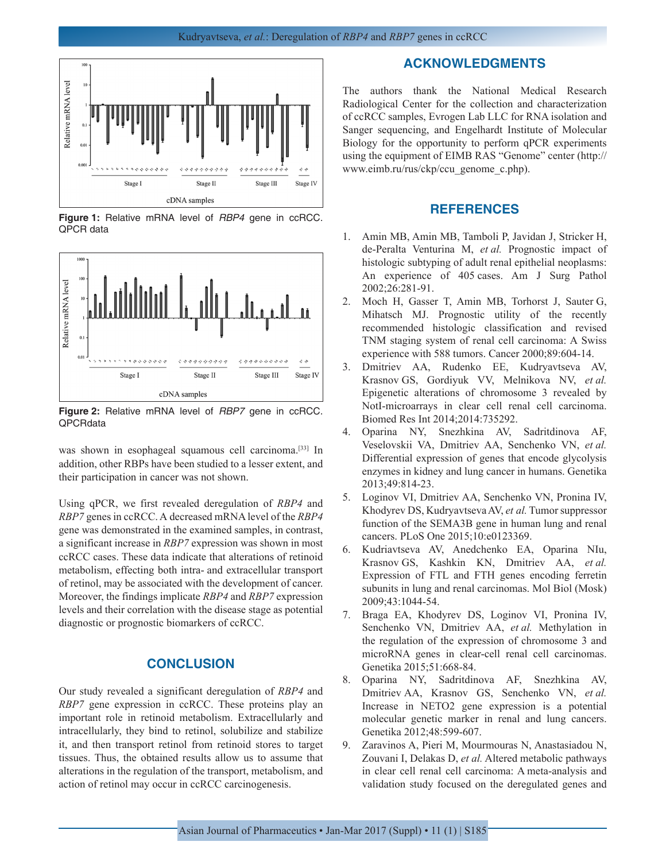

**Figure 1:** Relative mRNA level of *RBP4* gene in ccRCC. QPCR data



**Figure 2:** Relative mRNA level of *RBP7* gene in ccRCC. QPCRdata

was shown in esophageal squamous cell carcinoma.<sup>[33]</sup> In addition, other RBPs have been studied to a lesser extent, and their participation in cancer was not shown.

Using qPCR, we first revealed deregulation of *RBP4* and *RBP7* genes in ccRCC. A decreased mRNA level of the *RBP4* gene was demonstrated in the examined samples, in contrast, a significant increase in *RBP7* expression was shown in most ccRCC cases. These data indicate that alterations of retinoid metabolism, effecting both intra- and extracellular transport of retinol, may be associated with the development of cancer. Moreover, the findings implicate *RBP4* and *RBP7* expression levels and their correlation with the disease stage as potential diagnostic or prognostic biomarkers of ccRCC.

# **CONCLUSION**

Our study revealed a significant deregulation of *RBP4* and *RBP7* gene expression in ccRCC. These proteins play an important role in retinoid metabolism. Extracellularly and intracellularly, they bind to retinol, solubilize and stabilize it, and then transport retinol from retinoid stores to target tissues. Thus, the obtained results allow us to assume that alterations in the regulation of the transport, metabolism, and action of retinol may occur in ccRCC carcinogenesis.

## **ACKNOWLEDGMENTS**

The authors thank the National Medical Research Radiological Center for the collection and characterization of ccRCC samples, Evrogen Lab LLC for RNA isolation and Sanger sequencing, and Engelhardt Institute of Molecular Biology for the opportunity to perform qPCR experiments using the equipment of EIMB RAS "Genome" center (http:// www.eimb.ru/rus/ckp/ccu\_genome\_c.php).

## **REFERENCES**

- 1. Amin MB, Amin MB, Tamboli P, Javidan J, Stricker H, de-Peralta Venturina M, *et al.* Prognostic impact of histologic subtyping of adult renal epithelial neoplasms: An experience of 405 cases. Am J Surg Pathol 2002;26:281-91.
- 2. Moch H, Gasser T, Amin MB, Torhorst J, Sauter G, Mihatsch MJ. Prognostic utility of the recently recommended histologic classification and revised TNM staging system of renal cell carcinoma: A Swiss experience with 588 tumors. Cancer 2000;89:604-14.
- 3. Dmitriev AA, Rudenko EE, Kudryavtseva AV, Krasnov GS, Gordiyuk VV, Melnikova NV, *et al.* Epigenetic alterations of chromosome 3 revealed by NotI-microarrays in clear cell renal cell carcinoma. Biomed Res Int 2014;2014:735292.
- 4. Oparina NY, Snezhkina AV, Sadritdinova AF, Veselovskii VA, Dmitriev AA, Senchenko VN, *et al.* Differential expression of genes that encode glycolysis enzymes in kidney and lung cancer in humans. Genetika 2013;49:814-23.
- 5. Loginov VI, Dmitriev AA, Senchenko VN, Pronina IV, Khodyrev DS, Kudryavtseva AV, *et al.* Tumor suppressor function of the SEMA3B gene in human lung and renal cancers. PLoS One 2015;10:e0123369.
- 6. Kudriavtseva AV, Anedchenko EA, Oparina NIu, Krasnov GS, Kashkin KN, Dmitriev AA, *et al.* Expression of FTL and FTH genes encoding ferretin subunits in lung and renal carcinomas. Mol Biol (Mosk) 2009;43:1044-54.
- 7. Braga EA, Khodyrev DS, Loginov VI, Pronina IV, Senchenko VN, Dmitriev AA, *et al.* Methylation in the regulation of the expression of chromosome 3 and microRNA genes in clear-cell renal cell carcinomas. Genetika 2015;51:668-84.
- 8. Oparina NY, Sadritdinova AF, Snezhkina AV, Dmitriev AA, Krasnov GS, Senchenko VN, *et al.* Increase in NETO2 gene expression is a potential molecular genetic marker in renal and lung cancers. Genetika 2012;48:599-607.
- 9. Zaravinos A, Pieri M, Mourmouras N, Anastasiadou N, Zouvani I, Delakas D, *et al.* Altered metabolic pathways in clear cell renal cell carcinoma: A meta-analysis and validation study focused on the deregulated genes and